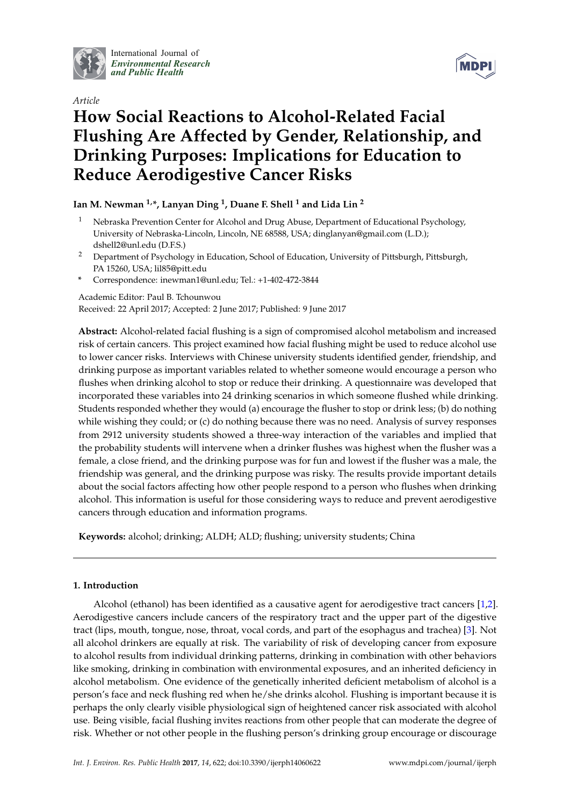

International Journal of *[Environmental Research](http://www.mdpi.com/journal/ijerph) and Public Health*





# **How Social Reactions to Alcohol-Related Facial Flushing Are Affected by Gender, Relationship, and Drinking Purposes: Implications for Education to Reduce Aerodigestive Cancer Risks**

# **Ian M. Newman 1,\*, Lanyan Ding <sup>1</sup> , Duane F. Shell <sup>1</sup> and Lida Lin <sup>2</sup>**

- <sup>1</sup> Nebraska Prevention Center for Alcohol and Drug Abuse, Department of Educational Psychology, University of Nebraska-Lincoln, Lincoln, NE 68588, USA; dinglanyan@gmail.com (L.D.); dshell2@unl.edu (D.F.S.)
- <sup>2</sup> Department of Psychology in Education, School of Education, University of Pittsburgh, Pittsburgh, PA 15260, USA; lil85@pitt.edu
- **\*** Correspondence: inewman1@unl.edu; Tel.: +1-402-472-3844

Academic Editor: Paul B. Tchounwou

Received: 22 April 2017; Accepted: 2 June 2017; Published: 9 June 2017

**Abstract:** Alcohol-related facial flushing is a sign of compromised alcohol metabolism and increased risk of certain cancers. This project examined how facial flushing might be used to reduce alcohol use to lower cancer risks. Interviews with Chinese university students identified gender, friendship, and drinking purpose as important variables related to whether someone would encourage a person who flushes when drinking alcohol to stop or reduce their drinking. A questionnaire was developed that incorporated these variables into 24 drinking scenarios in which someone flushed while drinking. Students responded whether they would (a) encourage the flusher to stop or drink less; (b) do nothing while wishing they could; or (c) do nothing because there was no need. Analysis of survey responses from 2912 university students showed a three-way interaction of the variables and implied that the probability students will intervene when a drinker flushes was highest when the flusher was a female, a close friend, and the drinking purpose was for fun and lowest if the flusher was a male, the friendship was general, and the drinking purpose was risky. The results provide important details about the social factors affecting how other people respond to a person who flushes when drinking alcohol. This information is useful for those considering ways to reduce and prevent aerodigestive cancers through education and information programs.

**Keywords:** alcohol; drinking; ALDH; ALD; flushing; university students; China

# **1. Introduction**

Alcohol (ethanol) has been identified as a causative agent for aerodigestive tract cancers [\[1,](#page-9-0)[2\]](#page-9-1). Aerodigestive cancers include cancers of the respiratory tract and the upper part of the digestive tract (lips, mouth, tongue, nose, throat, vocal cords, and part of the esophagus and trachea) [\[3\]](#page-9-2). Not all alcohol drinkers are equally at risk. The variability of risk of developing cancer from exposure to alcohol results from individual drinking patterns, drinking in combination with other behaviors like smoking, drinking in combination with environmental exposures, and an inherited deficiency in alcohol metabolism. One evidence of the genetically inherited deficient metabolism of alcohol is a person's face and neck flushing red when he/she drinks alcohol. Flushing is important because it is perhaps the only clearly visible physiological sign of heightened cancer risk associated with alcohol use. Being visible, facial flushing invites reactions from other people that can moderate the degree of risk. Whether or not other people in the flushing person's drinking group encourage or discourage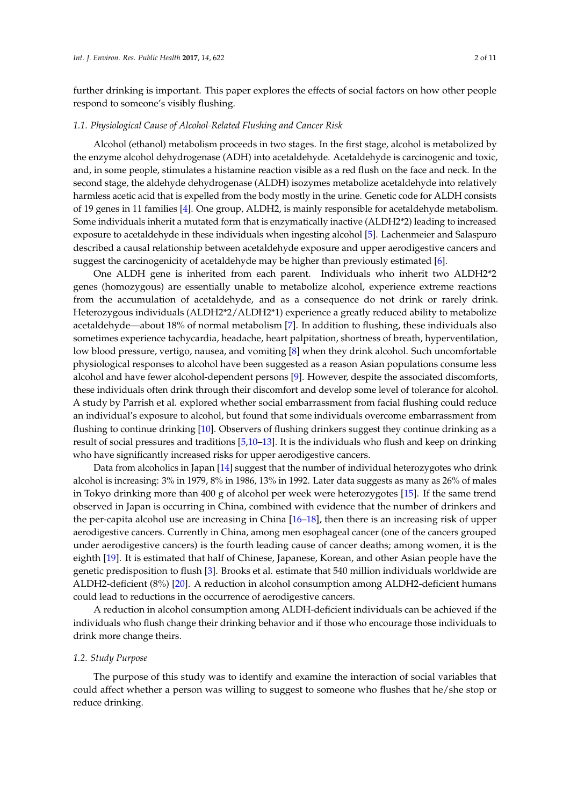further drinking is important. This paper explores the effects of social factors on how other people respond to someone's visibly flushing.

#### *1.1. Physiological Cause of Alcohol-Related Flushing and Cancer Risk*

Alcohol (ethanol) metabolism proceeds in two stages. In the first stage, alcohol is metabolized by the enzyme alcohol dehydrogenase (ADH) into acetaldehyde. Acetaldehyde is carcinogenic and toxic, and, in some people, stimulates a histamine reaction visible as a red flush on the face and neck. In the second stage, the aldehyde dehydrogenase (ALDH) isozymes metabolize acetaldehyde into relatively harmless acetic acid that is expelled from the body mostly in the urine. Genetic code for ALDH consists of 19 genes in 11 families [\[4\]](#page-9-3). One group, ALDH2, is mainly responsible for acetaldehyde metabolism. Some individuals inherit a mutated form that is enzymatically inactive (ALDH2\*2) leading to increased exposure to acetaldehyde in these individuals when ingesting alcohol [\[5\]](#page-9-4). Lachenmeier and Salaspuro described a causal relationship between acetaldehyde exposure and upper aerodigestive cancers and suggest the carcinogenicity of acetaldehyde may be higher than previously estimated [\[6\]](#page-9-5).

One ALDH gene is inherited from each parent. Individuals who inherit two ALDH2\*2 genes (homozygous) are essentially unable to metabolize alcohol, experience extreme reactions from the accumulation of acetaldehyde, and as a consequence do not drink or rarely drink. Heterozygous individuals (ALDH2\*2/ALDH2\*1) experience a greatly reduced ability to metabolize acetaldehyde—about 18% of normal metabolism [\[7\]](#page-9-6). In addition to flushing, these individuals also sometimes experience tachycardia, headache, heart palpitation, shortness of breath, hyperventilation, low blood pressure, vertigo, nausea, and vomiting [\[8\]](#page-9-7) when they drink alcohol. Such uncomfortable physiological responses to alcohol have been suggested as a reason Asian populations consume less alcohol and have fewer alcohol-dependent persons [\[9\]](#page-9-8). However, despite the associated discomforts, these individuals often drink through their discomfort and develop some level of tolerance for alcohol. A study by Parrish et al. explored whether social embarrassment from facial flushing could reduce an individual's exposure to alcohol, but found that some individuals overcome embarrassment from flushing to continue drinking [\[10\]](#page-9-9). Observers of flushing drinkers suggest they continue drinking as a result of social pressures and traditions [\[5,](#page-9-4)[10](#page-9-9)[–13\]](#page-9-10). It is the individuals who flush and keep on drinking who have significantly increased risks for upper aerodigestive cancers.

Data from alcoholics in Japan [\[14\]](#page-9-11) suggest that the number of individual heterozygotes who drink alcohol is increasing: 3% in 1979, 8% in 1986, 13% in 1992. Later data suggests as many as 26% of males in Tokyo drinking more than 400 g of alcohol per week were heterozygotes [\[15\]](#page-9-12). If the same trend observed in Japan is occurring in China, combined with evidence that the number of drinkers and the per-capita alcohol use are increasing in China [\[16](#page-9-13)[–18\]](#page-9-14), then there is an increasing risk of upper aerodigestive cancers. Currently in China, among men esophageal cancer (one of the cancers grouped under aerodigestive cancers) is the fourth leading cause of cancer deaths; among women, it is the eighth [\[19\]](#page-9-15). It is estimated that half of Chinese, Japanese, Korean, and other Asian people have the genetic predisposition to flush [\[3\]](#page-9-2). Brooks et al. estimate that 540 million individuals worldwide are ALDH2-deficient (8%) [\[20\]](#page-9-16). A reduction in alcohol consumption among ALDH2-deficient humans could lead to reductions in the occurrence of aerodigestive cancers.

A reduction in alcohol consumption among ALDH-deficient individuals can be achieved if the individuals who flush change their drinking behavior and if those who encourage those individuals to drink more change theirs.

# *1.2. Study Purpose*

The purpose of this study was to identify and examine the interaction of social variables that could affect whether a person was willing to suggest to someone who flushes that he/she stop or reduce drinking.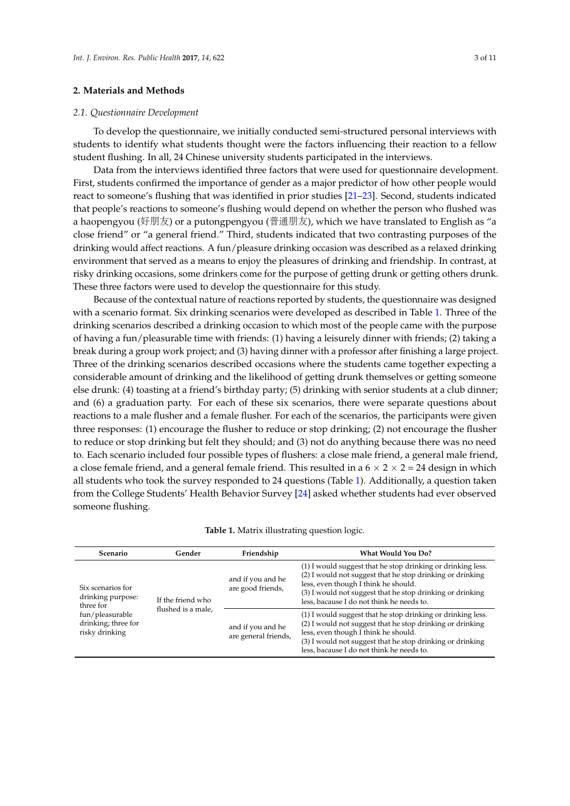# **2. Materials and Methods**

#### *2.1. Questionnaire Development*

To develop the questionnaire, we initially conducted semi-structured personal interviews with students to identify what students thought were the factors influencing their reaction to a fellow student flushing. In all, 24 Chinese university students participated in the interviews.

Data from the interviews identified three factors that were used for questionnaire development. First, students confirmed the importance of gender as a major predictor of how other people would react to someone's flushing that was identified in prior studies [\[21–](#page-9-17)[23\]](#page-10-0). Second, students indicated that people's reactions to someone's flushing would depend on whether the person who flushed was a haopengyou (好朋友) or a putongpengyou (普通朋友), which we have translated to English as "a close friend" or "a general friend." Third, students indicated that two contrasting purposes of the drinking would affect reactions. A fun/pleasure drinking occasion was described as a relaxed drinking environment that served as a means to enjoy the pleasures of drinking and friendship. In contrast, at risky drinking occasions, some drinkers come for the purpose of getting drunk or getting others drunk. These three factors were used to develop the questionnaire for this study.

Because of the contextual nature of reactions reported by students, the questionnaire was designed with a scenario format. Six drinking scenarios were developed as described in Table [1.](#page-3-0) Three of the drinking scenarios described a drinking occasion to which most of the people came with the purpose of having a fun/pleasurable time with friends: (1) having a leisurely dinner with friends; (2) taking a break during a group work project; and (3) having dinner with a professor after finishing a large project. Three of the drinking scenarios described occasions where the students came together expecting a considerable amount of drinking and the likelihood of getting drunk themselves or getting someone else drunk: (4) toasting at a friend's birthday party; (5) drinking with senior students at a club dinner; and (6) a graduation party. For each of these six scenarios, there were separate questions about reactions to a male flusher and a female flusher. For each of the scenarios, the participants were given three responses: (1) encourage the flusher to reduce or stop drinking; (2) not encourage the flusher to reduce or stop drinking but felt they should; and (3) not do anything because there was no need to. Each scenario included four possible types of flushers: a close male friend, a general male friend, a close female friend, and a general female friend. This resulted in a  $6 \times 2 \times 2 = 24$  design in which all students who took the survey responded to 24 questions (Table [1\)](#page-3-0). Additionally, a question taken from the College Students' Health Behavior Survey [\[24\]](#page-10-1) asked whether students had ever observed someone flushing.

| Scenario                                                                                                        | Gender                                  | Friendship                                | <b>What Would You Do?</b>                                                                                                                                                                                                                                                  |  |
|-----------------------------------------------------------------------------------------------------------------|-----------------------------------------|-------------------------------------------|----------------------------------------------------------------------------------------------------------------------------------------------------------------------------------------------------------------------------------------------------------------------------|--|
| Six scenarios for<br>drinking purpose:<br>three for<br>fun/pleasurable<br>drinking; three for<br>risky drinking | If the friend who<br>flushed is a male, | and if you and he<br>are good friends,    | (1) I would suggest that he stop drinking or drinking less.<br>(2) I would not suggest that he stop drinking or drinking<br>less, even though I think he should.<br>(3) I would not suggest that he stop drinking or drinking<br>less, bacause I do not think he needs to. |  |
|                                                                                                                 |                                         | and if you and he<br>are general friends, | (1) I would suggest that he stop drinking or drinking less.<br>(2) I would not suggest that he stop drinking or drinking<br>less, even though I think he should.<br>(3) I would not suggest that he stop drinking or drinking<br>less, bacause I do not think he needs to. |  |

| Table 1. Matrix illustrating question logic. |  |  |  |  |  |
|----------------------------------------------|--|--|--|--|--|
|----------------------------------------------|--|--|--|--|--|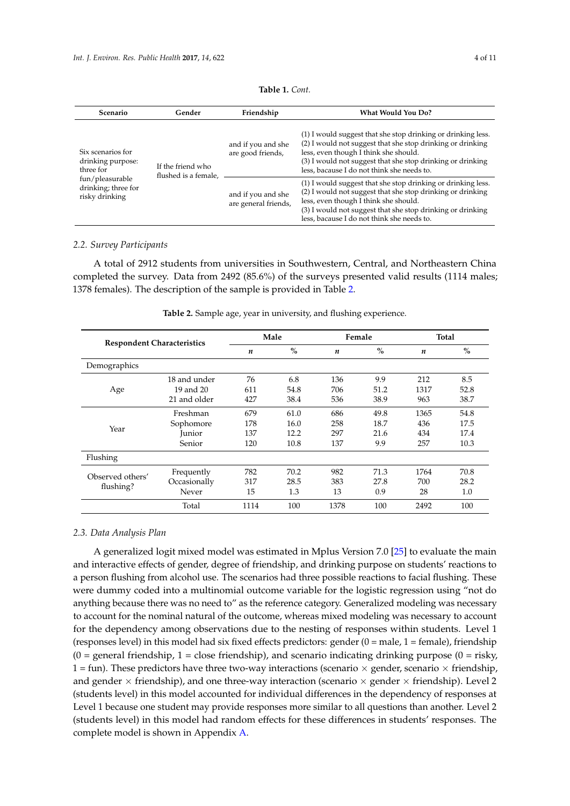<span id="page-3-0"></span>

| Scenario                                                                                                        | Gender                                    | Friendship                                 | <b>What Would You Do?</b>                                                                                                                                                                                                                                                       |
|-----------------------------------------------------------------------------------------------------------------|-------------------------------------------|--------------------------------------------|---------------------------------------------------------------------------------------------------------------------------------------------------------------------------------------------------------------------------------------------------------------------------------|
| Six scenarios for<br>drinking purpose:<br>three for<br>fun/pleasurable<br>drinking; three for<br>risky drinking | If the friend who<br>flushed is a female, | and if you and she<br>are good friends,    | (1) I would suggest that she stop drinking or drinking less.<br>(2) I would not suggest that she stop drinking or drinking<br>less, even though I think she should.<br>(3) I would not suggest that she stop drinking or drinking<br>less, bacause I do not think she needs to. |
|                                                                                                                 |                                           | and if you and she<br>are general friends, | (1) I would suggest that she stop drinking or drinking less.<br>(2) I would not suggest that she stop drinking or drinking<br>less, even though I think she should.<br>(3) I would not suggest that she stop drinking or drinking<br>less, bacause I do not think she needs to. |

# *2.2. Survey Participants*

A total of 2912 students from universities in Southwestern, Central, and Northeastern China completed the survey. Data from 2492 (85.6%) of the surveys presented valid results (1114 males; 1378 females). The description of the sample is provided in Table [2.](#page-3-1)

<span id="page-3-1"></span>

| <b>Respondent Characteristics</b> |              | Male             |      | Female           |               | <b>Total</b>     |               |
|-----------------------------------|--------------|------------------|------|------------------|---------------|------------------|---------------|
|                                   |              | $\boldsymbol{n}$ | $\%$ | $\boldsymbol{n}$ | $\frac{0}{0}$ | $\boldsymbol{n}$ | $\frac{0}{0}$ |
| Demographics                      |              |                  |      |                  |               |                  |               |
|                                   | 18 and under | 76               | 6.8  | 136              | 9.9           | 212              | 8.5           |
| Age                               | 19 and 20    | 611              | 54.8 | 706              | 51.2          | 1317             | 52.8          |
|                                   | 21 and older | 427              | 38.4 | 536              | 38.9          | 963              | 38.7          |
| Year                              | Freshman     | 679              | 61.0 | 686              | 49.8          | 1365             | 54.8          |
|                                   | Sophomore    | 178              | 16.0 | 258              | 18.7          | 436              | 17.5          |
|                                   | Junior       | 137              | 12.2 | 297              | 21.6          | 434              | 17.4          |
|                                   | Senior       | 120              | 10.8 | 137              | 9.9           | 257              | 10.3          |
| Flushing                          |              |                  |      |                  |               |                  |               |
| Observed others'<br>flushing?     | Frequently   | 782              | 70.2 | 982              | 71.3          | 1764             | 70.8          |
|                                   | Occasionally | 317              | 28.5 | 383              | 27.8          | 700              | 28.2          |
|                                   | Never        | 15               | 1.3  | 13               | 0.9           | 28               | 1.0           |
|                                   | Total        | 1114             | 100  | 1378             | 100           | 2492             | 100           |

**Table 2.** Sample age, year in university, and flushing experience.

#### *2.3. Data Analysis Plan*

A generalized logit mixed model was estimated in Mplus Version 7.0 [\[25\]](#page-10-2) to evaluate the main and interactive effects of gender, degree of friendship, and drinking purpose on students' reactions to a person flushing from alcohol use. The scenarios had three possible reactions to facial flushing. These were dummy coded into a multinomial outcome variable for the logistic regression using "not do anything because there was no need to" as the reference category. Generalized modeling was necessary to account for the nominal natural of the outcome, whereas mixed modeling was necessary to account for the dependency among observations due to the nesting of responses within students. Level 1 (responses level) in this model had six fixed effects predictors: gender (0 = male, 1 = female), friendship  $(0 = \text{general friction} \times \text{d})$ , 1 = close friendship), and scenario indicating drinking purpose  $(0 = \text{risk} \times \text{d})$ 1 = fun). These predictors have three two-way interactions (scenario  $\times$  gender, scenario  $\times$  friendship, and gender  $\times$  friendship), and one three-way interaction (scenario  $\times$  gender  $\times$  friendship). Level 2 (students level) in this model accounted for individual differences in the dependency of responses at Level 1 because one student may provide responses more similar to all questions than another. Level 2 (students level) in this model had random effects for these differences in students' responses. The complete model is shown in Appendix [A.](#page-8-0)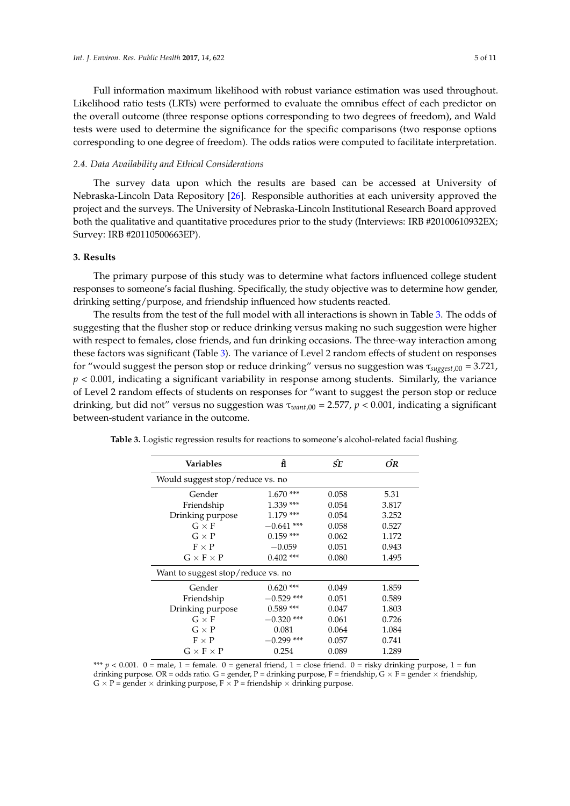Full information maximum likelihood with robust variance estimation was used throughout. Likelihood ratio tests (LRTs) were performed to evaluate the omnibus effect of each predictor on the overall outcome (three response options corresponding to two degrees of freedom), and Wald tests were used to determine the significance for the specific comparisons (two response options corresponding to one degree of freedom). The odds ratios were computed to facilitate interpretation.

# *2.4. Data Availability and Ethical Considerations*

The survey data upon which the results are based can be accessed at University of Nebraska-Lincoln Data Repository [\[26\]](#page-10-3). Responsible authorities at each university approved the project and the surveys. The University of Nebraska-Lincoln Institutional Research Board approved both the qualitative and quantitative procedures prior to the study (Interviews: IRB #20100610932EX; Survey: IRB #20110500663EP).

# **3. Results**

The primary purpose of this study was to determine what factors influenced college student responses to someone's facial flushing. Specifically, the study objective was to determine how gender, drinking setting/purpose, and friendship influenced how students reacted.

The results from the test of the full model with all interactions is shown in Table [3.](#page-4-0) The odds of suggesting that the flusher stop or reduce drinking versus making no such suggestion were higher with respect to females, close friends, and fun drinking occasions. The three-way interaction among these factors was significant (Table [3\)](#page-4-0). The variance of Level 2 random effects of student on responses for "would suggest the person stop or reduce drinking" versus no suggestion was τ*suggest*,00 = 3.721, *p* < 0.001, indicating a significant variability in response among students. Similarly, the variance of Level 2 random effects of students on responses for "want to suggest the person stop or reduce drinking, but did not" versus no suggestion was τ*want*,00 = 2.577, *p* < 0.001, indicating a significant between-student variance in the outcome.

| <b>Variables</b>                   | ĥ            | ŚΈ    | ÓR    |
|------------------------------------|--------------|-------|-------|
| Would suggest stop/reduce vs. no   |              |       |       |
| Gender                             | $1.670***$   | 0.058 | 5.31  |
| Friendship                         | $1.339***$   | 0.054 | 3.817 |
| Drinking purpose                   | $1.179***$   | 0.054 | 3.252 |
| $G \times F$                       | $-0.641$ *** | 0.058 | 0.527 |
| $G \times P$                       | $0.159$ ***  | 0.062 | 1.172 |
| $F \times P$                       | $-0.059$     | 0.051 | 0.943 |
| $G \times F \times P$              | $0.402$ ***  | 0.080 | 1.495 |
| Want to suggest stop/reduce vs. no |              |       |       |
| Gender                             | $0.620$ ***  | 0.049 | 1.859 |
| Friendship                         | $-0.529$ *** | 0.051 | 0.589 |
| Drinking purpose                   | $0.589$ ***  | 0.047 | 1.803 |
| $G \times F$                       | $-0.320$ *** | 0.061 | 0.726 |
| $G \times P$                       | 0.081        | 0.064 | 1.084 |
| $F \times P$                       | $0.299$ ***  | 0.057 | 0.741 |
| $G \times F \times P$              | 0.254        | 0.089 | 1.289 |

<span id="page-4-0"></span>**Table 3.** Logistic regression results for reactions to someone's alcohol-related facial flushing.

\*\*\*  $p < 0.001$ . 0 = male, 1 = female. 0 = general friend, 1 = close friend. 0 = risky drinking purpose, 1 = fun drinking purpose. OR = odds ratio. G = gender, P = drinking purpose, F = friendship,  $G \times F$  = gender  $\times$  friendship,  $G \times P$  = gender  $\times$  drinking purpose,  $F \times P$  = friendship  $\times$  drinking purpose.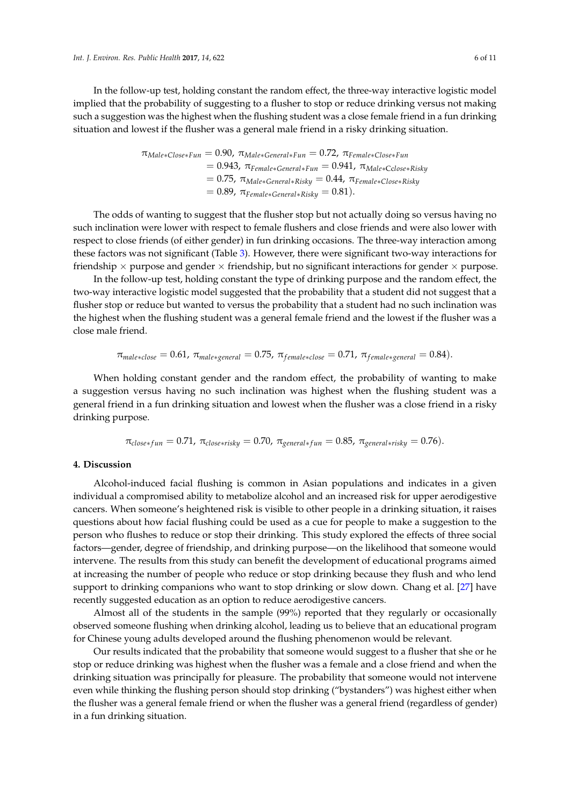In the follow-up test, holding constant the random effect, the three-way interactive logistic model implied that the probability of suggesting to a flusher to stop or reduce drinking versus not making such a suggestion was the highest when the flushing student was a close female friend in a fun drinking situation and lowest if the flusher was a general male friend in a risky drinking situation.

$$
\pi_{Male*Close*Fun} = 0.90, \pi_{Male*General*Fun} = 0.72, \pi_{Female*Close*Fun}
$$
  
= 0.943, \pi\_{Female\*General\*Fun} = 0.941, \pi\_{Male\*Close\*Risky}  
= 0.75, \pi\_{Male\*General\*Risky} = 0.44, \pi\_{Female\*Close\*Risky}  
= 0.89, \pi\_{Female\*General\*Risky} = 0.81).

The odds of wanting to suggest that the flusher stop but not actually doing so versus having no such inclination were lower with respect to female flushers and close friends and were also lower with respect to close friends (of either gender) in fun drinking occasions. The three-way interaction among these factors was not significant (Table [3\)](#page-4-0). However, there were significant two-way interactions for friendship  $\times$  purpose and gender  $\times$  friendship, but no significant interactions for gender  $\times$  purpose.

In the follow-up test, holding constant the type of drinking purpose and the random effect, the two-way interactive logistic model suggested that the probability that a student did not suggest that a flusher stop or reduce but wanted to versus the probability that a student had no such inclination was the highest when the flushing student was a general female friend and the lowest if the flusher was a close male friend.

$$
\pi_{male*close} = 0.61, \pi_{male*general} = 0.75, \pi_{female*close} = 0.71, \pi_{female*general} = 0.84).
$$

When holding constant gender and the random effect, the probability of wanting to make a suggestion versus having no such inclination was highest when the flushing student was a general friend in a fun drinking situation and lowest when the flusher was a close friend in a risky drinking purpose.

$$
\pi_{close\text{+}fun} = 0.71, \ \pi_{close\text{+}risky} = 0.70, \ \pi_{general\text{+}fun} = 0.85, \ \pi_{general\text{+}risky} = 0.76.
$$

### **4. Discussion**

Alcohol-induced facial flushing is common in Asian populations and indicates in a given individual a compromised ability to metabolize alcohol and an increased risk for upper aerodigestive cancers. When someone's heightened risk is visible to other people in a drinking situation, it raises questions about how facial flushing could be used as a cue for people to make a suggestion to the person who flushes to reduce or stop their drinking. This study explored the effects of three social factors—gender, degree of friendship, and drinking purpose—on the likelihood that someone would intervene. The results from this study can benefit the development of educational programs aimed at increasing the number of people who reduce or stop drinking because they flush and who lend support to drinking companions who want to stop drinking or slow down. Chang et al. [\[27\]](#page-10-4) have recently suggested education as an option to reduce aerodigestive cancers.

Almost all of the students in the sample (99%) reported that they regularly or occasionally observed someone flushing when drinking alcohol, leading us to believe that an educational program for Chinese young adults developed around the flushing phenomenon would be relevant.

Our results indicated that the probability that someone would suggest to a flusher that she or he stop or reduce drinking was highest when the flusher was a female and a close friend and when the drinking situation was principally for pleasure. The probability that someone would not intervene even while thinking the flushing person should stop drinking ("bystanders") was highest either when the flusher was a general female friend or when the flusher was a general friend (regardless of gender) in a fun drinking situation.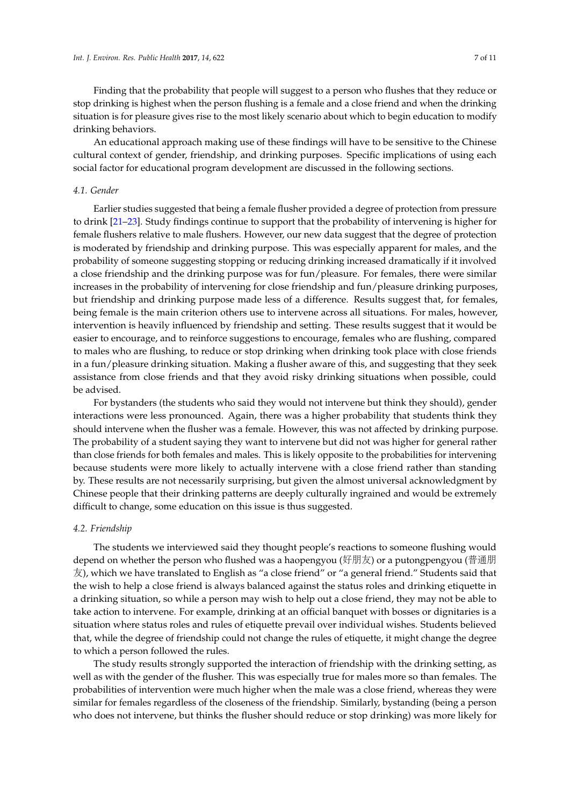Finding that the probability that people will suggest to a person who flushes that they reduce or stop drinking is highest when the person flushing is a female and a close friend and when the drinking situation is for pleasure gives rise to the most likely scenario about which to begin education to modify drinking behaviors.

An educational approach making use of these findings will have to be sensitive to the Chinese cultural context of gender, friendship, and drinking purposes. Specific implications of using each social factor for educational program development are discussed in the following sections.

#### *4.1. Gender*

Earlier studies suggested that being a female flusher provided a degree of protection from pressure to drink [\[21](#page-9-17)[–23\]](#page-10-0). Study findings continue to support that the probability of intervening is higher for female flushers relative to male flushers. However, our new data suggest that the degree of protection is moderated by friendship and drinking purpose. This was especially apparent for males, and the probability of someone suggesting stopping or reducing drinking increased dramatically if it involved a close friendship and the drinking purpose was for fun/pleasure. For females, there were similar increases in the probability of intervening for close friendship and fun/pleasure drinking purposes, but friendship and drinking purpose made less of a difference. Results suggest that, for females, being female is the main criterion others use to intervene across all situations. For males, however, intervention is heavily influenced by friendship and setting. These results suggest that it would be easier to encourage, and to reinforce suggestions to encourage, females who are flushing, compared to males who are flushing, to reduce or stop drinking when drinking took place with close friends in a fun/pleasure drinking situation. Making a flusher aware of this, and suggesting that they seek assistance from close friends and that they avoid risky drinking situations when possible, could be advised.

For bystanders (the students who said they would not intervene but think they should), gender interactions were less pronounced. Again, there was a higher probability that students think they should intervene when the flusher was a female. However, this was not affected by drinking purpose. The probability of a student saying they want to intervene but did not was higher for general rather than close friends for both females and males. This is likely opposite to the probabilities for intervening because students were more likely to actually intervene with a close friend rather than standing by. These results are not necessarily surprising, but given the almost universal acknowledgment by Chinese people that their drinking patterns are deeply culturally ingrained and would be extremely difficult to change, some education on this issue is thus suggested.

#### *4.2. Friendship*

The students we interviewed said they thought people's reactions to someone flushing would depend on whether the person who flushed was a haopengyou (好朋友) or a putongpengyou (普通<sup>朋</sup>  $\overline{\mathcal{R}}$ ), which we have translated to English as "a close friend" or "a general friend." Students said that the wish to help a close friend is always balanced against the status roles and drinking etiquette in a drinking situation, so while a person may wish to help out a close friend, they may not be able to take action to intervene. For example, drinking at an official banquet with bosses or dignitaries is a situation where status roles and rules of etiquette prevail over individual wishes. Students believed that, while the degree of friendship could not change the rules of etiquette, it might change the degree to which a person followed the rules.

The study results strongly supported the interaction of friendship with the drinking setting, as well as with the gender of the flusher. This was especially true for males more so than females. The probabilities of intervention were much higher when the male was a close friend, whereas they were similar for females regardless of the closeness of the friendship. Similarly, bystanding (being a person who does not intervene, but thinks the flusher should reduce or stop drinking) was more likely for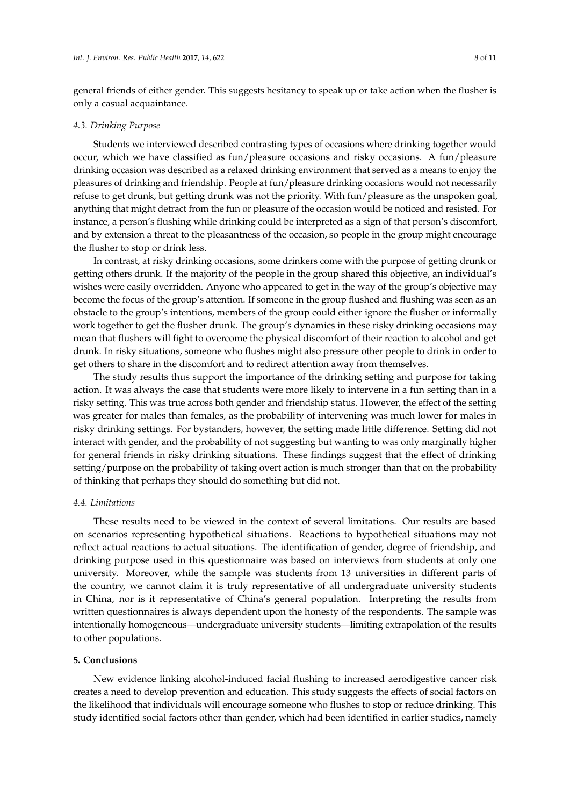general friends of either gender. This suggests hesitancy to speak up or take action when the flusher is only a casual acquaintance.

#### *4.3. Drinking Purpose*

Students we interviewed described contrasting types of occasions where drinking together would occur, which we have classified as fun/pleasure occasions and risky occasions. A fun/pleasure drinking occasion was described as a relaxed drinking environment that served as a means to enjoy the pleasures of drinking and friendship. People at fun/pleasure drinking occasions would not necessarily refuse to get drunk, but getting drunk was not the priority. With fun/pleasure as the unspoken goal, anything that might detract from the fun or pleasure of the occasion would be noticed and resisted. For instance, a person's flushing while drinking could be interpreted as a sign of that person's discomfort, and by extension a threat to the pleasantness of the occasion, so people in the group might encourage the flusher to stop or drink less.

In contrast, at risky drinking occasions, some drinkers come with the purpose of getting drunk or getting others drunk. If the majority of the people in the group shared this objective, an individual's wishes were easily overridden. Anyone who appeared to get in the way of the group's objective may become the focus of the group's attention. If someone in the group flushed and flushing was seen as an obstacle to the group's intentions, members of the group could either ignore the flusher or informally work together to get the flusher drunk. The group's dynamics in these risky drinking occasions may mean that flushers will fight to overcome the physical discomfort of their reaction to alcohol and get drunk. In risky situations, someone who flushes might also pressure other people to drink in order to get others to share in the discomfort and to redirect attention away from themselves.

The study results thus support the importance of the drinking setting and purpose for taking action. It was always the case that students were more likely to intervene in a fun setting than in a risky setting. This was true across both gender and friendship status. However, the effect of the setting was greater for males than females, as the probability of intervening was much lower for males in risky drinking settings. For bystanders, however, the setting made little difference. Setting did not interact with gender, and the probability of not suggesting but wanting to was only marginally higher for general friends in risky drinking situations. These findings suggest that the effect of drinking setting/purpose on the probability of taking overt action is much stronger than that on the probability of thinking that perhaps they should do something but did not.

# *4.4. Limitations*

These results need to be viewed in the context of several limitations. Our results are based on scenarios representing hypothetical situations. Reactions to hypothetical situations may not reflect actual reactions to actual situations. The identification of gender, degree of friendship, and drinking purpose used in this questionnaire was based on interviews from students at only one university. Moreover, while the sample was students from 13 universities in different parts of the country, we cannot claim it is truly representative of all undergraduate university students in China, nor is it representative of China's general population. Interpreting the results from written questionnaires is always dependent upon the honesty of the respondents. The sample was intentionally homogeneous—undergraduate university students—limiting extrapolation of the results to other populations.

#### **5. Conclusions**

New evidence linking alcohol-induced facial flushing to increased aerodigestive cancer risk creates a need to develop prevention and education. This study suggests the effects of social factors on the likelihood that individuals will encourage someone who flushes to stop or reduce drinking. This study identified social factors other than gender, which had been identified in earlier studies, namely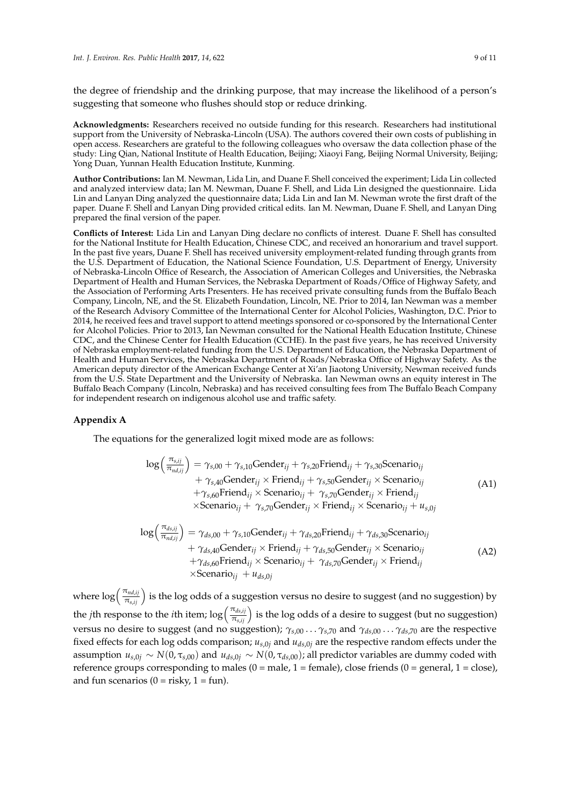the degree of friendship and the drinking purpose, that may increase the likelihood of a person's suggesting that someone who flushes should stop or reduce drinking.

**Acknowledgments:** Researchers received no outside funding for this research. Researchers had institutional support from the University of Nebraska-Lincoln (USA). The authors covered their own costs of publishing in open access. Researchers are grateful to the following colleagues who oversaw the data collection phase of the study: Ling Qian, National Institute of Health Education, Beijing; Xiaoyi Fang, Beijing Normal University, Beijing; Yong Duan, Yunnan Health Education Institute, Kunming.

**Author Contributions:** Ian M. Newman, Lida Lin, and Duane F. Shell conceived the experiment; Lida Lin collected and analyzed interview data; Ian M. Newman, Duane F. Shell, and Lida Lin designed the questionnaire. Lida Lin and Lanyan Ding analyzed the questionnaire data; Lida Lin and Ian M. Newman wrote the first draft of the paper. Duane F. Shell and Lanyan Ding provided critical edits. Ian M. Newman, Duane F. Shell, and Lanyan Ding prepared the final version of the paper.

**Conflicts of Interest:** Lida Lin and Lanyan Ding declare no conflicts of interest. Duane F. Shell has consulted for the National Institute for Health Education, Chinese CDC, and received an honorarium and travel support. In the past five years, Duane F. Shell has received university employment-related funding through grants from the U.S. Department of Education, the National Science Foundation, U.S. Department of Energy, University of Nebraska-Lincoln Office of Research, the Association of American Colleges and Universities, the Nebraska Department of Health and Human Services, the Nebraska Department of Roads/Office of Highway Safety, and the Association of Performing Arts Presenters. He has received private consulting funds from the Buffalo Beach Company, Lincoln, NE, and the St. Elizabeth Foundation, Lincoln, NE. Prior to 2014, Ian Newman was a member of the Research Advisory Committee of the International Center for Alcohol Policies, Washington, D.C. Prior to 2014, he received fees and travel support to attend meetings sponsored or co-sponsored by the International Center for Alcohol Policies. Prior to 2013, Ian Newman consulted for the National Health Education Institute, Chinese CDC, and the Chinese Center for Health Education (CCHE). In the past five years, he has received University of Nebraska employment-related funding from the U.S. Department of Education, the Nebraska Department of Health and Human Services, the Nebraska Department of Roads/Nebraska Office of Highway Safety. As the American deputy director of the American Exchange Center at Xi'an Jiaotong University, Newman received funds from the U.S. State Department and the University of Nebraska. Ian Newman owns an equity interest in The Buffalo Beach Company (Lincoln, Nebraska) and has received consulting fees from The Buffalo Beach Company for independent research on indigenous alcohol use and traffic safety.

#### <span id="page-8-0"></span>**Appendix A**

The equations for the generalized logit mixed mode are as follows:

$$
\log\left(\frac{\pi_{s,ij}}{\pi_{nd,ij}}\right) = \gamma_{s,00} + \gamma_{s,10} \text{Gender}_{ij} + \gamma_{s,20} \text{Friend}_{ij} + \gamma_{s,30} \text{Scenario}_{ij} + \gamma_{s,40} \text{Gender}_{ij} \times \text{Friend}_{ij} + \gamma_{s,50} \text{Gender}_{ij} \times \text{Scenario}_{ij} + \gamma_{s,60} \text{Friend}_{ij} \times \text{Scenario}_{ij} + \gamma_{s,70} \text{Gender}_{ij} \times \text{Friend}_{ij} \times \text{Scenario}_{ij} + \gamma_{s,70} \text{Gender}_{ij} \times \text{Friend}_{ij} \times \text{Scenario}_{ij} + u_{s,0j}
$$
\n(A1)

$$
\log\left(\frac{\pi_{ds,ij}}{\pi_{nd,ij}}\right) = \gamma_{ds,00} + \gamma_{s,10} \text{Gender}_{ij} + \gamma_{ds,20} \text{Friend}_{ij} + \gamma_{ds,30} \text{Scenario}_{ij} + \gamma_{ds,40} \text{Gender}_{ij} \times \text{Friend}_{ij} + \gamma_{ds,50} \text{Gender}_{ij} \times \text{Scenario}_{ij} + \gamma_{ds,60} \text{Friend}_{ij} \times \text{Scenario}_{ij} + \gamma_{ds,70} \text{Gender}_{ij} \times \text{Friend}_{ij} \times \text{Scenario}_{ij} + u_{ds,0j}
$$
\n(A2)

where  $\log\left(\frac{\pi_{nd,ij}}{\pi_{s,ij}}\right)$  is the log odds of a suggestion versus no desire to suggest (and no suggestion) by the *j*th response to the *i*th item;  $\log\left(\frac{\pi_{ds,ij}}{\pi_{s,ij}}\right)$  is the log odds of a desire to suggest (but no suggestion) versus no desire to suggest (and no suggestion); *γs*,00 . . . *γs*,70 and *γds*,00 . . . *γds*,70 are the respective fixed effects for each log odds comparison;  $u_{s,0j}$  and  $u_{ds,0j}$  are the respective random effects under the assumption  $u_{s,0j} \sim N(0, \tau_{s,00})$  and  $u_{ds,0j} \sim N(0, \tau_{ds,00})$ ; all predictor variables are dummy coded with reference groups corresponding to males  $(0 = male, 1 = female)$ , close friends  $(0 = general, 1 = close)$ , and fun scenarios  $(0 = \text{risky}, 1 = \text{fun}).$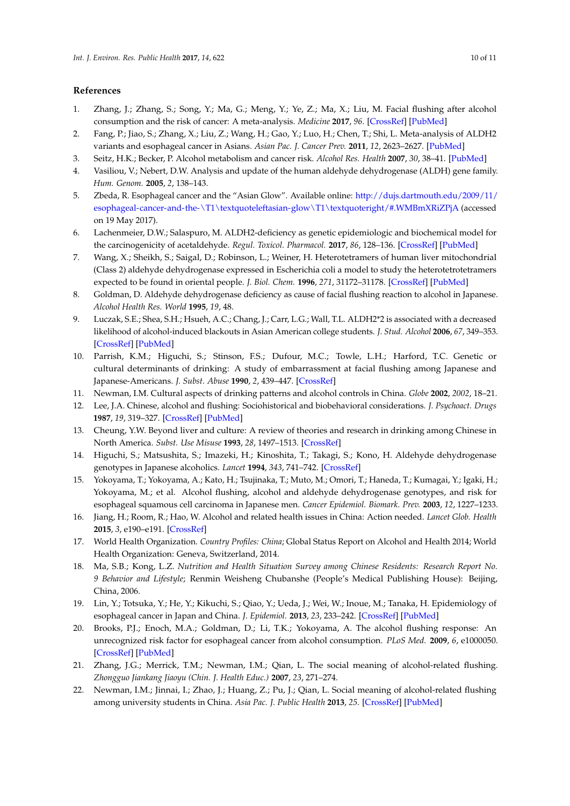# **References**

- <span id="page-9-0"></span>1. Zhang, J.; Zhang, S.; Song, Y.; Ma, G.; Meng, Y.; Ye, Z.; Ma, X.; Liu, M. Facial flushing after alcohol consumption and the risk of cancer: A meta-analysis. *Medicine* **2017**, *96*. [\[CrossRef\]](http://dx.doi.org/10.1097/MD.0000000000006506) [\[PubMed\]](http://www.ncbi.nlm.nih.gov/pubmed/28353603)
- <span id="page-9-1"></span>2. Fang, P.; Jiao, S.; Zhang, X.; Liu, Z.; Wang, H.; Gao, Y.; Luo, H.; Chen, T.; Shi, L. Meta-analysis of ALDH2 variants and esophageal cancer in Asians. *Asian Pac. J. Cancer Prev.* **2011**, *12*, 2623–2627. [\[PubMed\]](http://www.ncbi.nlm.nih.gov/pubmed/22320964)
- <span id="page-9-2"></span>3. Seitz, H.K.; Becker, P. Alcohol metabolism and cancer risk. *Alcohol Res. Health* **2007**, *30*, 38–41. [\[PubMed\]](http://www.ncbi.nlm.nih.gov/pubmed/17718399)
- <span id="page-9-3"></span>4. Vasiliou, V.; Nebert, D.W. Analysis and update of the human aldehyde dehydrogenase (ALDH) gene family. *Hum. Genom.* **2005**, *2*, 138–143.
- <span id="page-9-4"></span>5. Zbeda, R. Esophageal cancer and the "Asian Glow". Available online: [http://dujs.dartmouth.edu/2009/11/](http://dujs.dartmouth.edu/2009/11/esophageal-cancer-and-the-\T1\textquoteleft asian-glow\T1\textquoteright /#.WMBmXRiZPjA) [esophageal-cancer-and-the-\T1\textquoteleftasian-glow\T1\textquoteright/#.WMBmXRiZPjA](http://dujs.dartmouth.edu/2009/11/esophageal-cancer-and-the-\T1\textquoteleft asian-glow\T1\textquoteright /#.WMBmXRiZPjA) (accessed on 19 May 2017).
- <span id="page-9-5"></span>6. Lachenmeier, D.W.; Salaspuro, M. ALDH2-deficiency as genetic epidemiologic and biochemical model for the carcinogenicity of acetaldehyde. *Regul. Toxicol. Pharmacol.* **2017**, *86*, 128–136. [\[CrossRef\]](http://dx.doi.org/10.1016/j.yrtph.2017.02.024) [\[PubMed\]](http://www.ncbi.nlm.nih.gov/pubmed/28257851)
- <span id="page-9-6"></span>7. Wang, X.; Sheikh, S.; Saigal, D.; Robinson, L.; Weiner, H. Heterotetramers of human liver mitochondrial (Class 2) aldehyde dehydrogenase expressed in Escherichia coli a model to study the heterotetrotetramers expected to be found in oriental people. *J. Biol. Chem.* **1996**, *271*, 31172–31178. [\[CrossRef\]](http://dx.doi.org/10.1074/jbc.271.49.31172) [\[PubMed\]](http://www.ncbi.nlm.nih.gov/pubmed/8940116)
- <span id="page-9-7"></span>8. Goldman, D. Aldehyde dehydrogenase deficiency as cause of facial flushing reaction to alcohol in Japanese. *Alcohol Health Res. World* **1995**, *19*, 48.
- <span id="page-9-8"></span>9. Luczak, S.E.; Shea, S.H.; Hsueh, A.C.; Chang, J.; Carr, L.G.; Wall, T.L. ALDH2\*2 is associated with a decreased likelihood of alcohol-induced blackouts in Asian American college students. *J. Stud. Alcohol* **2006**, *67*, 349–353. [\[CrossRef\]](http://dx.doi.org/10.15288/jsa.2006.67.349) [\[PubMed\]](http://www.ncbi.nlm.nih.gov/pubmed/16608143)
- <span id="page-9-9"></span>10. Parrish, K.M.; Higuchi, S.; Stinson, F.S.; Dufour, M.C.; Towle, L.H.; Harford, T.C. Genetic or cultural determinants of drinking: A study of embarrassment at facial flushing among Japanese and Japanese-Americans. *J. Subst. Abuse* **1990**, *2*, 439–447. [\[CrossRef\]](http://dx.doi.org/10.1016/S0899-3289(12)80004-6)
- 11. Newman, I.M. Cultural aspects of drinking patterns and alcohol controls in China. *Globe* **2002**, *2002*, 18–21.
- 12. Lee, J.A. Chinese, alcohol and flushing: Sociohistorical and biobehavioral considerations. *J. Psychoact. Drugs* **1987**, *19*, 319–327. [\[CrossRef\]](http://dx.doi.org/10.1080/02791072.1987.10472419) [\[PubMed\]](http://www.ncbi.nlm.nih.gov/pubmed/3443888)
- <span id="page-9-10"></span>13. Cheung, Y.W. Beyond liver and culture: A review of theories and research in drinking among Chinese in North America. *Subst. Use Misuse* **1993**, *28*, 1497–1513. [\[CrossRef\]](http://dx.doi.org/10.3109/10826089309062196)
- <span id="page-9-11"></span>14. Higuchi, S.; Matsushita, S.; Imazeki, H.; Kinoshita, T.; Takagi, S.; Kono, H. Aldehyde dehydrogenase genotypes in Japanese alcoholics. *Lancet* **1994**, *343*, 741–742. [\[CrossRef\]](http://dx.doi.org/10.1016/S0140-6736(94)91629-2)
- <span id="page-9-12"></span>15. Yokoyama, T.; Yokoyama, A.; Kato, H.; Tsujinaka, T.; Muto, M.; Omori, T.; Haneda, T.; Kumagai, Y.; Igaki, H.; Yokoyama, M.; et al. Alcohol flushing, alcohol and aldehyde dehydrogenase genotypes, and risk for esophageal squamous cell carcinoma in Japanese men. *Cancer Epidemiol. Biomark. Prev.* **2003**, *12*, 1227–1233.
- <span id="page-9-13"></span>16. Jiang, H.; Room, R.; Hao, W. Alcohol and related health issues in China: Action needed. *Lancet Glob. Health* **2015**, *3*, e190–e191. [\[CrossRef\]](http://dx.doi.org/10.1016/S2214-109X(15)70017-3)
- 17. World Health Organization. *Country Profiles: China*; Global Status Report on Alcohol and Health 2014; World Health Organization: Geneva, Switzerland, 2014.
- <span id="page-9-14"></span>18. Ma, S.B.; Kong, L.Z. *Nutrition and Health Situation Survey among Chinese Residents: Research Report No. 9 Behavior and Lifestyle*; Renmin Weisheng Chubanshe (People's Medical Publishing House): Beijing, China, 2006.
- <span id="page-9-15"></span>19. Lin, Y.; Totsuka, Y.; He, Y.; Kikuchi, S.; Qiao, Y.; Ueda, J.; Wei, W.; Inoue, M.; Tanaka, H. Epidemiology of esophageal cancer in Japan and China. *J. Epidemiol.* **2013**, *23*, 233–242. [\[CrossRef\]](http://dx.doi.org/10.2188/jea.JE20120162) [\[PubMed\]](http://www.ncbi.nlm.nih.gov/pubmed/23629646)
- <span id="page-9-16"></span>20. Brooks, P.J.; Enoch, M.A.; Goldman, D.; Li, T.K.; Yokoyama, A. The alcohol flushing response: An unrecognized risk factor for esophageal cancer from alcohol consumption. *PLoS Med.* **2009**, *6*, e1000050. [\[CrossRef\]](http://dx.doi.org/10.1371/journal.pmed.1000050) [\[PubMed\]](http://www.ncbi.nlm.nih.gov/pubmed/19320537)
- <span id="page-9-17"></span>21. Zhang, J.G.; Merrick, T.M.; Newman, I.M.; Qian, L. The social meaning of alcohol-related flushing. *Zhongguo Jiankang Jiaoyu (Chin. J. Health Educ.)* **2007**, *23*, 271–274.
- 22. Newman, I.M.; Jinnai, I.; Zhao, J.; Huang, Z.; Pu, J.; Qian, L. Social meaning of alcohol-related flushing among university students in China. *Asia Pac. J. Public Health* **2013**, *25*. [\[CrossRef\]](http://dx.doi.org/10.1177/1010539511420702) [\[PubMed\]](http://www.ncbi.nlm.nih.gov/pubmed/21914706)